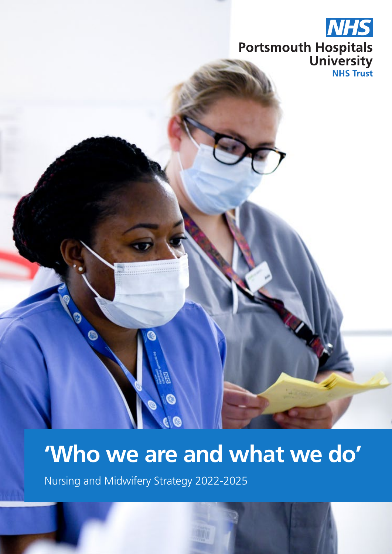

## **'Who we are and what we do'**

Nursing and Midwifery Strategy 2022-2025

O

**I**C